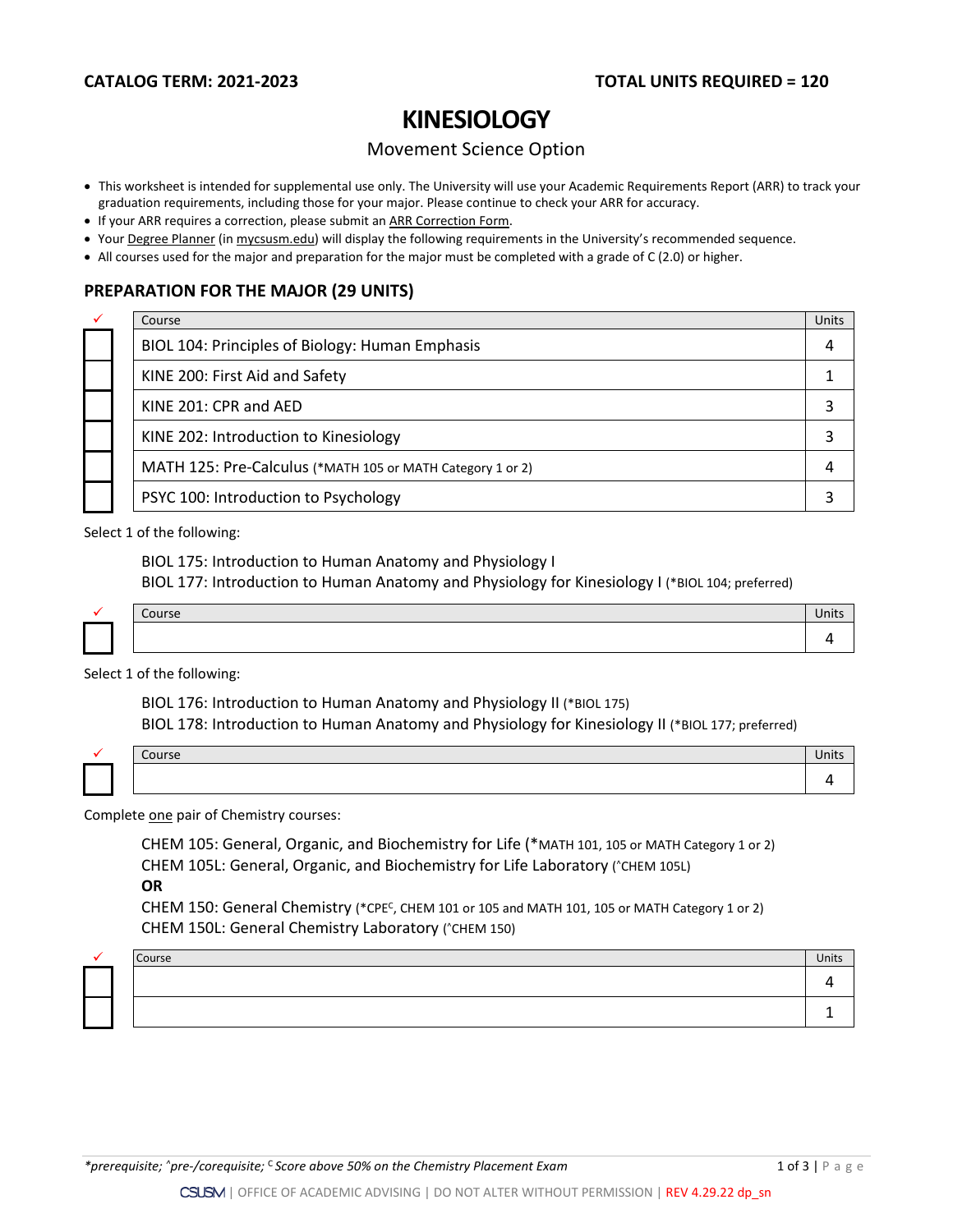# **KINESIOLOGY**

## Movement Science Option

- This worksheet is intended for supplemental use only. The University will use your Academic Requirements Report (ARR) to track your graduation requirements, including those for your major. Please continue to check your ARR for accuracy.
- If your ARR requires a correction, please submit an [ARR Correction Form.](http://www.csusm.edu/academicadvising/arrcorrection/index.html)
- You[r Degree Planner](https://www.csusm.edu/academicadvising/degreeplanner/index.html) (i[n mycsusm.edu\)](https://my.csusm.edu/) will display the following requirements in the University's recommended sequence.
- All courses used for the major and preparation for the major must be completed with a grade of C (2.0) or higher.

## **PREPARATION FOR THE MAJOR (29 UNITS)**

|  | Course                                                     | Units |
|--|------------------------------------------------------------|-------|
|  | BIOL 104: Principles of Biology: Human Emphasis            |       |
|  | KINE 200: First Aid and Safety                             |       |
|  | KINE 201: CPR and AED                                      |       |
|  | KINE 202: Introduction to Kinesiology                      |       |
|  | MATH 125: Pre-Calculus (*MATH 105 or MATH Category 1 or 2) |       |
|  | PSYC 100: Introduction to Psychology                       |       |

Select 1 of the following:

BIOL 175: Introduction to Human Anatomy and Physiology I BIOL 177: Introduction to Human Anatomy and Physiology for Kinesiology I (\*BIOL 104; preferred)

| Course | Units |
|--------|-------|
|        |       |

Select 1 of the following:

BIOL 176: Introduction to Human Anatomy and Physiology II (\*BIOL 175) BIOL 178: Introduction to Human Anatomy and Physiology for Kinesiology II (\*BIOL 177; preferred)

| $T_{\text{a}}$<br>coursc | Units |
|--------------------------|-------|
|                          |       |

Complete one pair of Chemistry courses:

CHEM 105: General, Organic, and Biochemistry for Life (\*MATH 101, 105 or MATH Category 1 or 2) CHEM 105L: General, Organic, and Biochemistry for Life Laboratory (^CHEM 105L)

**OR**

CHEM 150: General Chemistry (\*CPEC, CHEM 101 or 105 and MATH 101, 105 or MATH Category 1 or 2) CHEM 150L: General Chemistry Laboratory (^CHEM 150)

|  | Course | Units |
|--|--------|-------|
|  |        |       |
|  |        |       |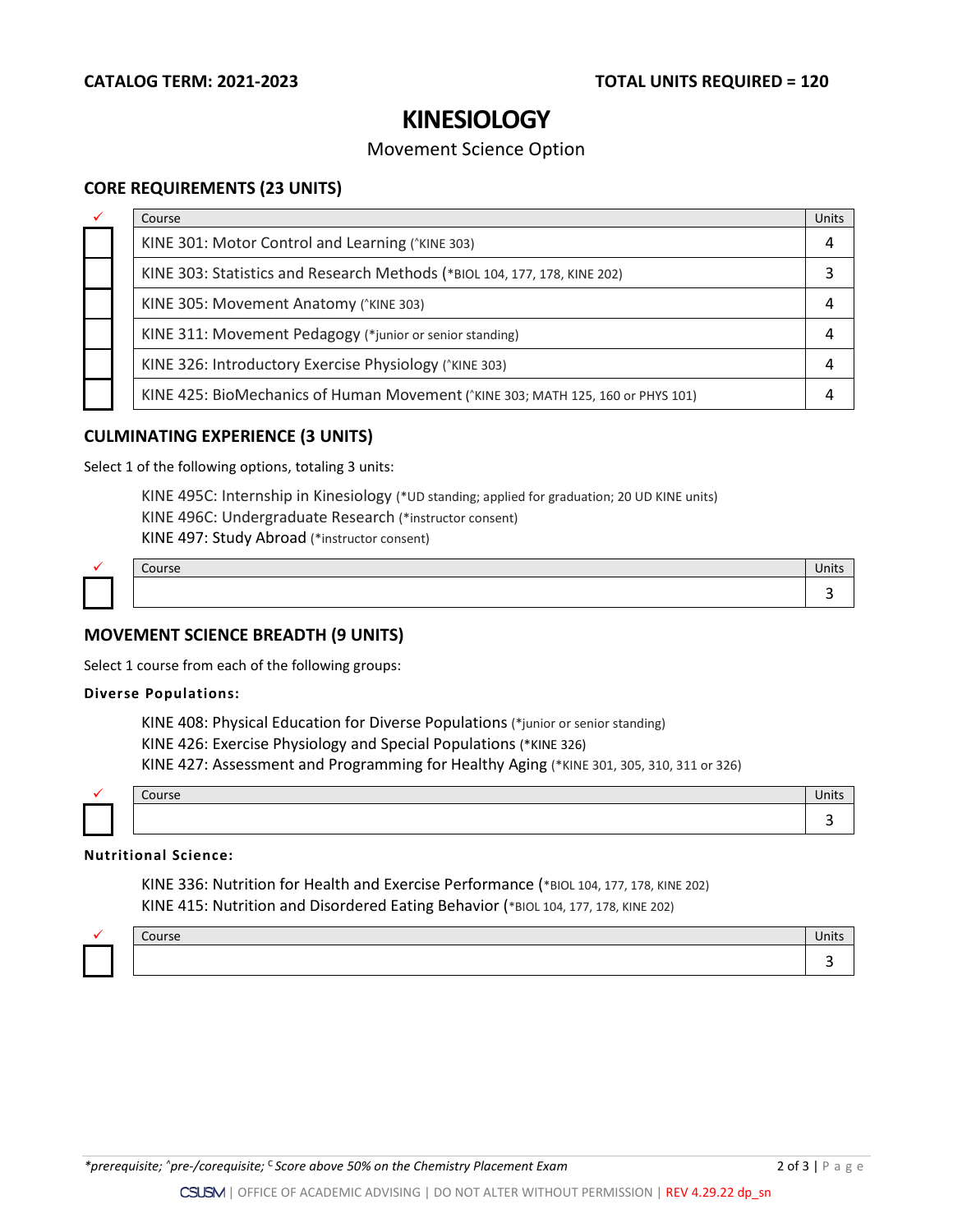# **KINESIOLOGY**

## Movement Science Option

## **CORE REQUIREMENTS (23 UNITS)**

| ✓ | Course                                                                          | Units |
|---|---------------------------------------------------------------------------------|-------|
|   | KINE 301: Motor Control and Learning (*KINE 303)                                |       |
|   | KINE 303: Statistics and Research Methods (*BIOL 104, 177, 178, KINE 202)       |       |
|   | KINE 305: Movement Anatomy (*KINE 303)                                          |       |
|   | KINE 311: Movement Pedagogy (*junior or senior standing)                        |       |
|   | KINE 326: Introductory Exercise Physiology (*KINE 303)                          |       |
|   | KINE 425: BioMechanics of Human Movement ('KINE 303; MATH 125, 160 or PHYS 101) |       |

## **CULMINATING EXPERIENCE (3 UNITS)**

Select 1 of the following options, totaling 3 units:

KINE 495C: Internship in Kinesiology (\*UD standing; applied for graduation; 20 UD KINE units) KINE 496C: Undergraduate Research (\*instructor consent) KINE 497: Study Abroad (\*instructor consent)

|  | $\sim$<br>CUUI SE | ш |
|--|-------------------|---|
|  |                   |   |

## **MOVEMENT SCIENCE BREADTH (9 UNITS)**

Select 1 course from each of the following groups:

#### **Diverse Populations:**

KINE 408: Physical Education for Diverse Populations (\*junior or senior standing) KINE 426: Exercise Physiology and Special Populations (\*KINE 326) KINE 427: Assessment and Programming for Healthy Aging (\*KINE 301, 305, 310, 311 or 326)

| C <sub>0</sub><br>CUUI SE | Units |
|---------------------------|-------|
|                           |       |

### **Nutritional Science:**

KINE 336: Nutrition for Health and Exercise Performance (\*BIOL 104, 177, 178, KINE 202) KINE 415: Nutrition and Disordered Eating Behavior (\*BIOL 104, 177, 178, KINE 202)

| Course | unus |
|--------|------|
|        |      |